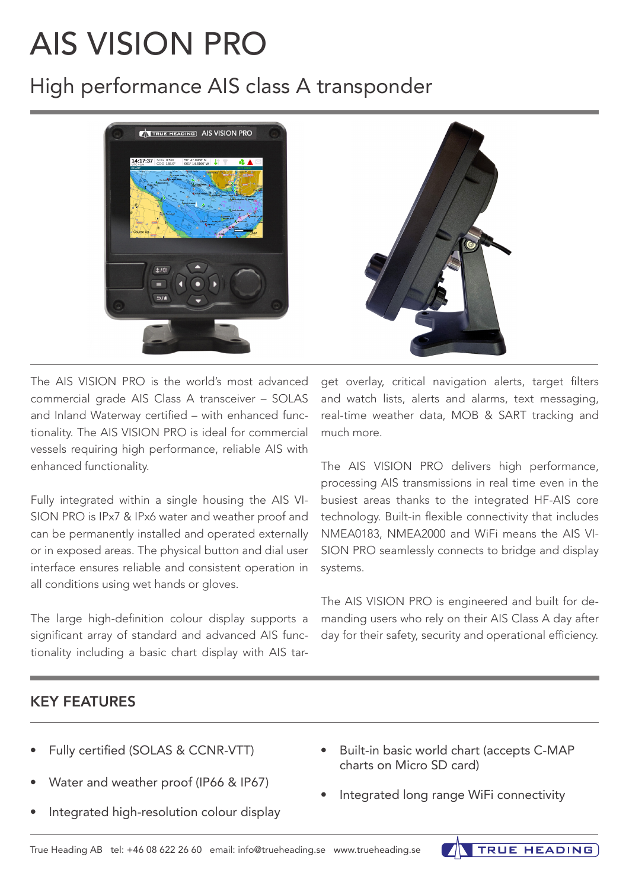# AIS VISION PRO

## High performance AIS class A transponder



The AIS VISION PRO is the world's most advanced commercial grade AIS Class A transceiver – SOLAS and Inland Waterway certified – with enhanced functionality. The AIS VISION PRO is ideal for commercial vessels requiring high performance, reliable AIS with enhanced functionality.

Fully integrated within a single housing the AIS VI-SION PRO is IPx7 & IPx6 water and weather proof and can be permanently installed and operated externally or in exposed areas. The physical button and dial user interface ensures reliable and consistent operation in all conditions using wet hands or gloves.

The large high-definition colour display supports a significant array of standard and advanced AIS functionality including a basic chart display with AIS target overlay, critical navigation alerts, target filters and watch lists, alerts and alarms, text messaging, real-time weather data, MOB & SART tracking and much more.

The AIS VISION PRO delivers high performance, processing AIS transmissions in real time even in the busiest areas thanks to the integrated HF-AIS core technology. Built-in flexible connectivity that includes NMEA0183, NMEA2000 and WiFi means the AIS VI-SION PRO seamlessly connects to bridge and display systems.

The AIS VISION PRO is engineered and built for demanding users who rely on their AIS Class A day after day for their safety, security and operational efficiency.

### KEY FEATURES

- Fully certified (SOLAS & CCNR-VTT)
- Water and weather proof (IP66 & IP67)
- Integrated high-resolution colour display
- Built-in basic world chart (accepts C-MAP charts on Micro SD card)
- Integrated long range WiFi connectivity